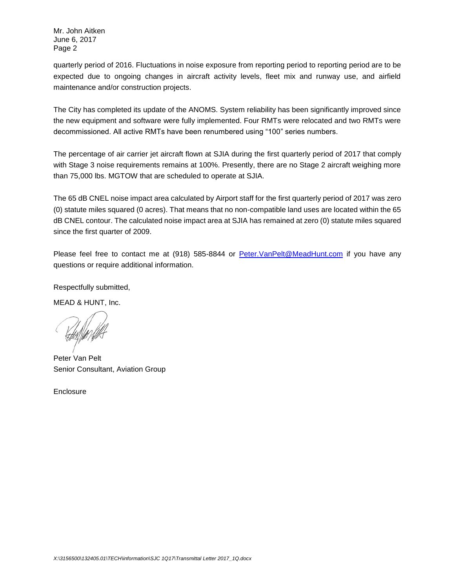Mr. John Aitken June 6, 2017 Page 2

quarterly period of 2016. Fluctuations in noise exposure from reporting period to reporting period are to be expected due to ongoing changes in aircraft activity levels, fleet mix and runway use, and airfield maintenance and/or construction projects.

The City has completed its update of the ANOMS. System reliability has been significantly improved since the new equipment and software were fully implemented. Four RMTs were relocated and two RMTs were decommissioned. All active RMTs have been renumbered using "100" series numbers.

The percentage of air carrier jet aircraft flown at SJIA during the first quarterly period of 2017 that comply with Stage 3 noise requirements remains at 100%. Presently, there are no Stage 2 aircraft weighing more than 75,000 lbs. MGTOW that are scheduled to operate at SJIA.

The 65 dB CNEL noise impact area calculated by Airport staff for the first quarterly period of 2017 was zero (0) statute miles squared (0 acres). That means that no non-compatible land uses are located within the 65 dB CNEL contour. The calculated noise impact area at SJIA has remained at zero (0) statute miles squared since the first quarter of 2009.

Please feel free to contact me at (918) 585-8844 or Peter.VanPelt@MeadHunt.com if you have any questions or require additional information.

Respectfully submitted,

MEAD & HUNT, Inc.

Peter Van Pelt Senior Consultant, Aviation Group

**Enclosure**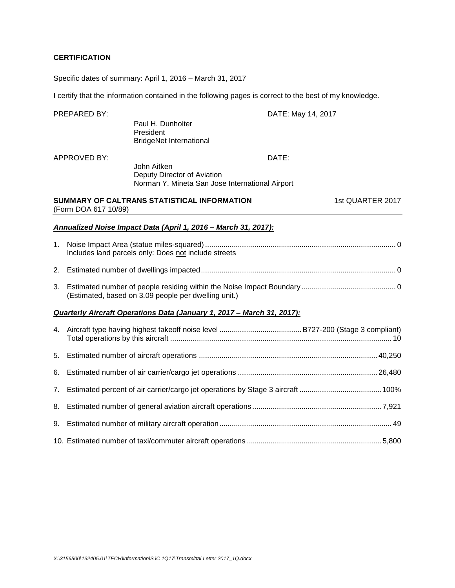## **CERTIFICATION**

Specific dates of summary: April 1, 2016 – March 31, 2017

I certify that the information contained in the following pages is correct to the best of my knowledge.

|    | PREPARED BY:         |                                                                                               | DATE: May 14, 2017 |
|----|----------------------|-----------------------------------------------------------------------------------------------|--------------------|
|    |                      | Paul H. Dunholter<br>President<br><b>BridgeNet International</b>                              |                    |
|    | <b>APPROVED BY:</b>  |                                                                                               | DATE:              |
|    |                      | John Aitken<br>Deputy Director of Aviation<br>Norman Y. Mineta San Jose International Airport |                    |
|    | (Form DOA 617 10/89) | SUMMARY OF CALTRANS STATISTICAL INFORMATION                                                   | 1st QUARTER 2017   |
|    |                      | Annualized Noise Impact Data (April 1, 2016 - March 31, 2017):                                |                    |
| 1. |                      | Includes land parcels only: Does not include streets                                          |                    |
| 2. |                      |                                                                                               |                    |
| 3. |                      | (Estimated, based on 3.09 people per dwelling unit.)                                          |                    |
|    |                      | Quarterly Aircraft Operations Data (January 1, 2017 - March 31, 2017):                        |                    |
| 4. |                      |                                                                                               |                    |
| 5. |                      |                                                                                               |                    |
| 6. |                      |                                                                                               |                    |
| 7. |                      |                                                                                               |                    |
| 8. |                      |                                                                                               |                    |
| 9. |                      |                                                                                               |                    |
|    |                      |                                                                                               |                    |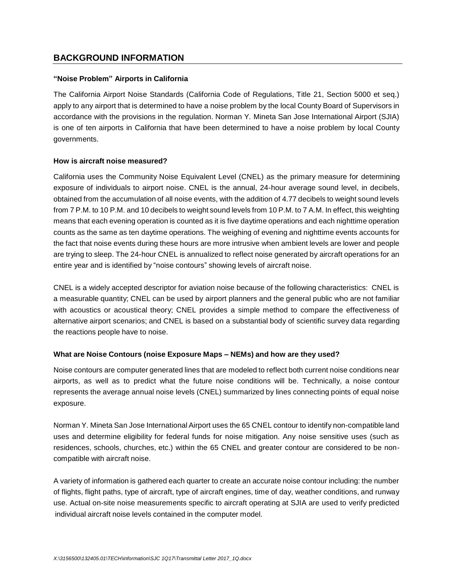# **BACKGROUND INFORMATION**

#### **"Noise Problem" Airports in California**

The California Airport Noise Standards (California Code of Regulations, Title 21, Section 5000 et seq.) apply to any airport that is determined to have a noise problem by the local County Board of Supervisors in accordance with the provisions in the regulation. Norman Y. Mineta San Jose International Airport (SJIA) is one of ten airports in California that have been determined to have a noise problem by local County governments.

### **How is aircraft noise measured?**

California uses the Community Noise Equivalent Level (CNEL) as the primary measure for determining exposure of individuals to airport noise. CNEL is the annual, 24-hour average sound level, in decibels, obtained from the accumulation of all noise events, with the addition of 4.77 decibels to weight sound levels from 7 P.M. to 10 P.M. and 10 decibels to weight sound levels from 10 P.M. to 7 A.M. In effect, this weighting means that each evening operation is counted as it is five daytime operations and each nighttime operation counts as the same as ten daytime operations. The weighing of evening and nighttime events accounts for the fact that noise events during these hours are more intrusive when ambient levels are lower and people are trying to sleep. The 24-hour CNEL is annualized to reflect noise generated by aircraft operations for an entire year and is identified by "noise contours" showing levels of aircraft noise.

CNEL is a widely accepted descriptor for aviation noise because of the following characteristics: CNEL is a measurable quantity; CNEL can be used by airport planners and the general public who are not familiar with acoustics or acoustical theory; CNEL provides a simple method to compare the effectiveness of alternative airport scenarios; and CNEL is based on a substantial body of scientific survey data regarding the reactions people have to noise.

## **What are Noise Contours (noise Exposure Maps – NEMs) and how are they used?**

Noise contours are computer generated lines that are modeled to reflect both current noise conditions near airports, as well as to predict what the future noise conditions will be. Technically, a noise contour represents the average annual noise levels (CNEL) summarized by lines connecting points of equal noise exposure.

Norman Y. Mineta San Jose International Airport uses the 65 CNEL contour to identify non-compatible land uses and determine eligibility for federal funds for noise mitigation. Any noise sensitive uses (such as residences, schools, churches, etc.) within the 65 CNEL and greater contour are considered to be noncompatible with aircraft noise.

A variety of information is gathered each quarter to create an accurate noise contour including: the number of flights, flight paths, type of aircraft, type of aircraft engines, time of day, weather conditions, and runway use. Actual on-site noise measurements specific to aircraft operating at SJIA are used to verify predicted individual aircraft noise levels contained in the computer model.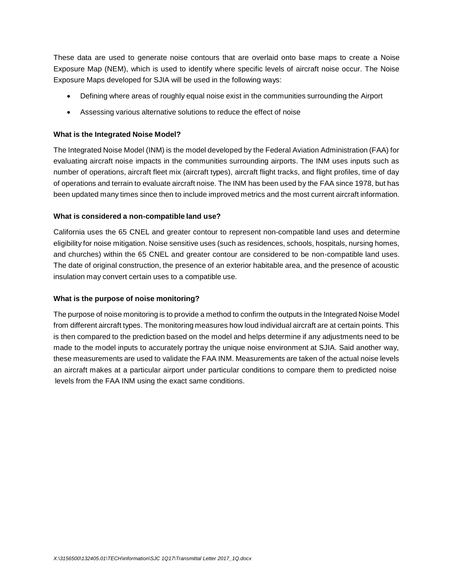These data are used to generate noise contours that are overlaid onto base maps to create a Noise Exposure Map (NEM), which is used to identify where specific levels of aircraft noise occur. The Noise Exposure Maps developed for SJIA will be used in the following ways:

- Defining where areas of roughly equal noise exist in the communities surrounding the Airport
- Assessing various alternative solutions to reduce the effect of noise

## **What is the Integrated Noise Model?**

The Integrated Noise Model (INM) is the model developed by the Federal Aviation Administration (FAA) for evaluating aircraft noise impacts in the communities surrounding airports. The INM uses inputs such as number of operations, aircraft fleet mix (aircraft types), aircraft flight tracks, and flight profiles, time of day of operations and terrain to evaluate aircraft noise. The INM has been used by the FAA since 1978, but has been updated many times since then to include improved metrics and the most current aircraft information.

### **What is considered a non-compatible land use?**

California uses the 65 CNEL and greater contour to represent non-compatible land uses and determine eligibility for noise mitigation. Noise sensitive uses (such as residences, schools, hospitals, nursing homes, and churches) within the 65 CNEL and greater contour are considered to be non-compatible land uses. The date of original construction, the presence of an exterior habitable area, and the presence of acoustic insulation may convert certain uses to a compatible use.

### **What is the purpose of noise monitoring?**

The purpose of noise monitoring is to provide a method to confirm the outputs in the Integrated Noise Model from different aircraft types. The monitoring measures how loud individual aircraft are at certain points. This is then compared to the prediction based on the model and helps determine if any adjustments need to be made to the model inputs to accurately portray the unique noise environment at SJIA. Said another way, these measurements are used to validate the FAA INM. Measurements are taken of the actual noise levels an aircraft makes at a particular airport under particular conditions to compare them to predicted noise levels from the FAA INM using the exact same conditions.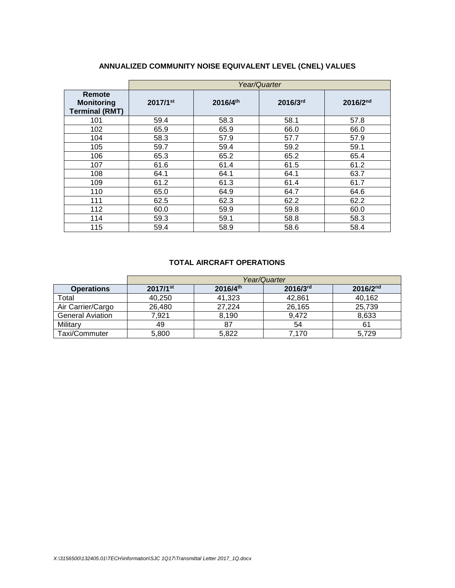# **ANNUALIZED COMMUNITY NOISE EQUIVALENT LEVEL (CNEL) VALUES**

|                                                      | Year/Quarter           |          |          |               |  |  |  |  |  |  |  |
|------------------------------------------------------|------------------------|----------|----------|---------------|--|--|--|--|--|--|--|
| Remote<br><b>Monitoring</b><br><b>Terminal (RMT)</b> | $2017/1$ <sup>st</sup> | 2016/4th | 2016/3rd | $2016/2^{nd}$ |  |  |  |  |  |  |  |
| 101                                                  | 59.4                   | 58.3     | 58.1     | 57.8          |  |  |  |  |  |  |  |
| 102                                                  | 65.9                   | 65.9     | 66.0     | 66.0          |  |  |  |  |  |  |  |
| 104                                                  | 58.3                   | 57.9     | 57.7     | 57.9          |  |  |  |  |  |  |  |
| 105                                                  | 59.7                   | 59.4     | 59.2     | 59.1          |  |  |  |  |  |  |  |
| 106                                                  | 65.3                   | 65.2     | 65.2     | 65.4          |  |  |  |  |  |  |  |
| 107                                                  | 61.6                   | 61.4     | 61.5     | 61.2          |  |  |  |  |  |  |  |
| 108                                                  | 64.1                   | 64.1     | 64.1     | 63.7          |  |  |  |  |  |  |  |
| 109                                                  | 61.2                   | 61.3     | 61.4     | 61.7          |  |  |  |  |  |  |  |
| 110                                                  | 65.0                   | 64.9     | 64.7     | 64.6          |  |  |  |  |  |  |  |
| 111                                                  | 62.5                   | 62.3     | 62.2     | 62.2          |  |  |  |  |  |  |  |
| 112                                                  | 60.0                   | 59.9     | 59.8     | 60.0          |  |  |  |  |  |  |  |
| 114                                                  | 59.3                   | 59.1     | 58.8     | 58.3          |  |  |  |  |  |  |  |
| 115                                                  | 59.4                   | 58.9     | 58.6     | 58.4          |  |  |  |  |  |  |  |

# **TOTAL AIRCRAFT OPERATIONS**

|                         | Year/Quarter           |                      |               |               |  |  |  |  |  |  |  |  |
|-------------------------|------------------------|----------------------|---------------|---------------|--|--|--|--|--|--|--|--|
| <b>Operations</b>       | $2017/1$ <sup>st</sup> | $2016/4^{\text{th}}$ | $2016/3^{rd}$ | $2016/2^{nd}$ |  |  |  |  |  |  |  |  |
| Total                   | 40.250                 | 41,323               | 42,861        | 40,162        |  |  |  |  |  |  |  |  |
| Air Carrier/Cargo       | 26,480                 | 27,224               | 26,165        | 25,739        |  |  |  |  |  |  |  |  |
| <b>General Aviation</b> | 7,921                  | 8.190                | 9.472         | 8,633         |  |  |  |  |  |  |  |  |
| Military                | 49                     | -87                  | 54            | 61            |  |  |  |  |  |  |  |  |
| Taxi/Commuter           | 5,800                  | 5.822                | 7,170         | 5.729         |  |  |  |  |  |  |  |  |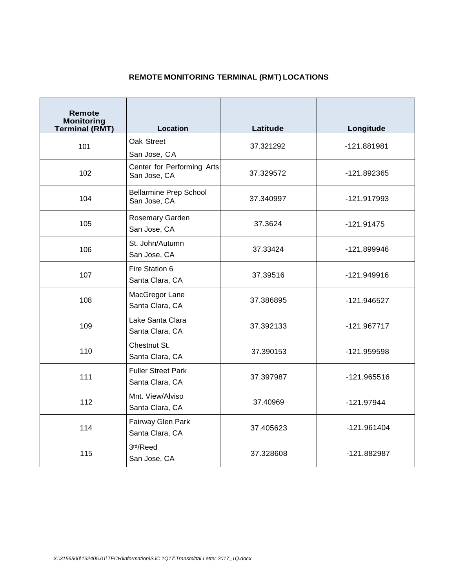# **REMOTE MONITORING TERMINAL (RMT) LOCATIONS**

| Remote<br><b>Monitoring</b><br><b>Terminal (RMT)</b> | <b>Location</b>                               | Latitude  | Longitude     |  |  |
|------------------------------------------------------|-----------------------------------------------|-----------|---------------|--|--|
| 101                                                  | Oak Street<br>San Jose, CA                    | 37.321292 | -121.881981   |  |  |
| 102                                                  | Center for Performing Arts<br>San Jose, CA    | 37.329572 | -121.892365   |  |  |
| 104                                                  | <b>Bellarmine Prep School</b><br>San Jose, CA | 37.340997 | -121.917993   |  |  |
| 105                                                  | Rosemary Garden<br>San Jose, CA               | 37.3624   | $-121.91475$  |  |  |
| 106                                                  | St. John/Autumn<br>San Jose, CA               | 37.33424  | -121.899946   |  |  |
| 107                                                  | Fire Station 6<br>Santa Clara, CA             | 37.39516  | -121.949916   |  |  |
| 108                                                  | MacGregor Lane<br>Santa Clara, CA             | 37.386895 | -121.946527   |  |  |
| 109                                                  | Lake Santa Clara<br>Santa Clara, CA           | 37.392133 | $-121.967717$ |  |  |
| 110                                                  | Chestnut St.<br>Santa Clara, CA               | 37.390153 | -121.959598   |  |  |
| 111                                                  | <b>Fuller Street Park</b><br>Santa Clara, CA  | 37.397987 | $-121.965516$ |  |  |
| 112                                                  | Mnt. View/Alviso<br>Santa Clara, CA           | 37.40969  | $-121.97944$  |  |  |
| 114                                                  | Fairway Glen Park<br>Santa Clara, CA          | 37.405623 | $-121.961404$ |  |  |
| 115                                                  | 3rd/Reed<br>San Jose, CA                      | 37.328608 | -121.882987   |  |  |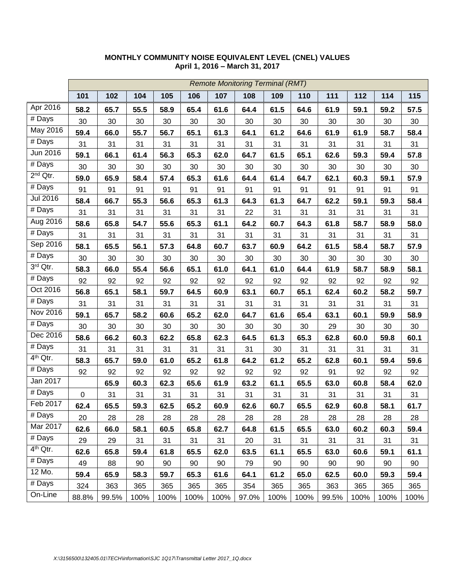|                      |                  | <b>Remote Monitoring Terminal (RMT)</b> |      |      |      |      |       |      |      |       |      |      |      |
|----------------------|------------------|-----------------------------------------|------|------|------|------|-------|------|------|-------|------|------|------|
|                      | 101              | 102                                     | 104  | 105  | 106  | 107  | 108   | 109  | 110  | 111   | 112  | 114  | 115  |
| Apr 2016             | 58.2             | 65.7                                    | 55.5 | 58.9 | 65.4 | 61.6 | 64.4  | 61.5 | 64.6 | 61.9  | 59.1 | 59.2 | 57.5 |
| # Days               | 30               | 30                                      | 30   | 30   | 30   | 30   | 30    | 30   | 30   | 30    | 30   | 30   | 30   |
| May 2016             | 59.4             | 66.0                                    | 55.7 | 56.7 | 65.1 | 61.3 | 64.1  | 61.2 | 64.6 | 61.9  | 61.9 | 58.7 | 58.4 |
| # Days               | 31               | 31                                      | 31   | 31   | 31   | 31   | 31    | 31   | 31   | 31    | 31   | 31   | 31   |
| Jun 2016             | 59.1             | 66.1                                    | 61.4 | 56.3 | 65.3 | 62.0 | 64.7  | 61.5 | 65.1 | 62.6  | 59.3 | 59.4 | 57.8 |
| $#$ Days             | 30               | 30                                      | 30   | 30   | 30   | 30   | 30    | 30   | 30   | 30    | 30   | 30   | 30   |
| $2nd$ Qtr.           | 59.0             | 65.9                                    | 58.4 | 57.4 | 65.3 | 61.6 | 64.4  | 61.4 | 64.7 | 62.1  | 60.3 | 59.1 | 57.9 |
| $#$ Days             | 91               | 91                                      | 91   | 91   | 91   | 91   | 91    | 91   | 91   | 91    | 91   | 91   | 91   |
| Jul 2016             | 58.4             | 66.7                                    | 55.3 | 56.6 | 65.3 | 61.3 | 64.3  | 61.3 | 64.7 | 62.2  | 59.1 | 59.3 | 58.4 |
| $\overline{\#}$ Days | 31               | 31                                      | 31   | 31   | 31   | 31   | 22    | 31   | 31   | 31    | 31   | 31   | 31   |
| Aug 2016             | 58.6             | 65.8                                    | 54.7 | 55.6 | 65.3 | 61.1 | 64.2  | 60.7 | 64.3 | 61.8  | 58.7 | 58.9 | 58.0 |
| # Days               | 31               | 31                                      | 31   | 31   | 31   | 31   | 31    | 31   | 31   | 31    | 31   | 31   | 31   |
| Sep 2016             | 58.1             | 65.5                                    | 56.1 | 57.3 | 64.8 | 60.7 | 63.7  | 60.9 | 64.2 | 61.5  | 58.4 | 58.7 | 57.9 |
| $\overline{\#}$ Days | 30               | 30                                      | 30   | 30   | 30   | 30   | 30    | 30   | 30   | 30    | 30   | 30   | 30   |
| 3rd Qtr.             | 58.3             | 66.0                                    | 55.4 | 56.6 | 65.1 | 61.0 | 64.1  | 61.0 | 64.4 | 61.9  | 58.7 | 58.9 | 58.1 |
| $#$ Days             | 92               | 92                                      | 92   | 92   | 92   | 92   | 92    | 92   | 92   | 92    | 92   | 92   | 92   |
| Oct 2016             | 56.8             | 65.1                                    | 58.1 | 59.7 | 64.5 | 60.9 | 63.1  | 60.7 | 65.1 | 62.4  | 60.2 | 58.2 | 59.7 |
| $\overline{\#}$ Days | 31               | 31                                      | 31   | 31   | 31   | 31   | 31    | 31   | 31   | 31    | 31   | 31   | 31   |
| Nov 2016             | 59.1             | 65.7                                    | 58.2 | 60.6 | 65.2 | 62.0 | 64.7  | 61.6 | 65.4 | 63.1  | 60.1 | 59.9 | 58.9 |
| $#$ Days             | 30               | 30                                      | 30   | 30   | 30   | 30   | 30    | 30   | 30   | 29    | 30   | 30   | 30   |
| Dec 2016             | 58.6             | 66.2                                    | 60.3 | 62.2 | 65.8 | 62.3 | 64.5  | 61.3 | 65.3 | 62.8  | 60.0 | 59.8 | 60.1 |
| $#$ Days             | 31               | 31                                      | 31   | 31   | 31   | 31   | 31    | 30   | 31   | 31    | 31   | 31   | 31   |
| 4 <sup>th</sup> Qtr. | 58.3             | 65.7                                    | 59.0 | 61.0 | 65.2 | 61.8 | 64.2  | 61.2 | 65.2 | 62.8  | 60.1 | 59.4 | 59.6 |
| # Days               | 92               | 92                                      | 92   | 92   | 92   | 92   | 92    | 92   | 92   | 91    | 92   | 92   | 92   |
| Jan 2017             |                  | 65.9                                    | 60.3 | 62.3 | 65.6 | 61.9 | 63.2  | 61.1 | 65.5 | 63.0  | 60.8 | 58.4 | 62.0 |
| $\overline{\#}$ Days | $\boldsymbol{0}$ | 31                                      | 31   | 31   | 31   | 31   | 31    | 31   | 31   | 31    | 31   | 31   | 31   |
| Feb 2017             | 62.4             | 65.5                                    | 59.3 | 62.5 | 65.2 | 60.9 | 62.6  | 60.7 | 65.5 | 62.9  | 60.8 | 58.1 | 61.7 |
| # Days               | 20               | 28                                      | 28   | 28   | 28   | 28   | 28    | 28   | 28   | 28    | 28   | 28   | 28   |
| Mar 2017             | 62.6             | 66.0                                    | 58.1 | 60.5 | 65.8 | 62.7 | 64.8  | 61.5 | 65.5 | 63.0  | 60.2 | 60.3 | 59.4 |
| # Days               | 29               | 29                                      | 31   | 31   | 31   | 31   | 20    | 31   | 31   | 31    | 31   | 31   | 31   |
| 4 <sup>th</sup> Qtr. | 62.6             | 65.8                                    | 59.4 | 61.8 | 65.5 | 62.0 | 63.5  | 61.1 | 65.5 | 63.0  | 60.6 | 59.1 | 61.1 |
| # Days               | 49               | 88                                      | 90   | 90   | 90   | 90   | 79    | 90   | 90   | 90    | 90   | 90   | 90   |
| 12 Mo.               | 59.4             | 65.9                                    | 58.3 | 59.7 | 65.3 | 61.6 | 64.1  | 61.2 | 65.0 | 62.5  | 60.0 | 59.3 | 59.4 |
| # Days               | 324              | 363                                     | 365  | 365  | 365  | 365  | 354   | 365  | 365  | 363   | 365  | 365  | 365  |
| On-Line              | 88.8%            | 99.5%                                   | 100% | 100% | 100% | 100% | 97.0% | 100% | 100% | 99.5% | 100% | 100% | 100% |

# **MONTHLY COMMUNITY NOISE EQUIVALENT LEVEL (CNEL) VALUES April 1, 2016 – March 31, 2017**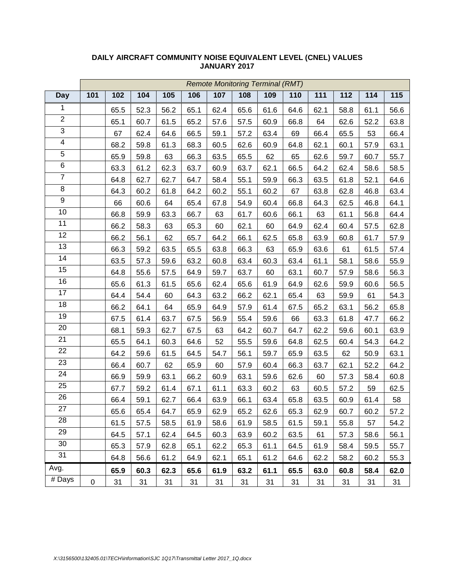|                         | <b>Remote Monitoring Terminal (RMT)</b> |      |      |      |      |      |      |      |      |      |      |      |      |
|-------------------------|-----------------------------------------|------|------|------|------|------|------|------|------|------|------|------|------|
| <b>Day</b>              | 101                                     | 102  | 104  | 105  | 106  | 107  | 108  | 109  | 110  | 111  | 112  | 114  | 115  |
| $\mathbf{1}$            |                                         | 65.5 | 52.3 | 56.2 | 65.1 | 62.4 | 65.6 | 61.6 | 64.6 | 62.1 | 58.8 | 61.1 | 56.6 |
| $\overline{2}$          |                                         | 65.1 | 60.7 | 61.5 | 65.2 | 57.6 | 57.5 | 60.9 | 66.8 | 64   | 62.6 | 52.2 | 63.8 |
| $\overline{3}$          |                                         | 67   | 62.4 | 64.6 | 66.5 | 59.1 | 57.2 | 63.4 | 69   | 66.4 | 65.5 | 53   | 66.4 |
| $\overline{\mathbf{4}}$ |                                         | 68.2 | 59.8 | 61.3 | 68.3 | 60.5 | 62.6 | 60.9 | 64.8 | 62.1 | 60.1 | 57.9 | 63.1 |
| $\overline{5}$          |                                         | 65.9 | 59.8 | 63   | 66.3 | 63.5 | 65.5 | 62   | 65   | 62.6 | 59.7 | 60.7 | 55.7 |
| 6                       |                                         | 63.3 | 61.2 | 62.3 | 63.7 | 60.9 | 63.7 | 62.1 | 66.5 | 64.2 | 62.4 | 58.6 | 58.5 |
| $\overline{7}$          |                                         | 64.8 | 62.7 | 62.7 | 64.7 | 58.4 | 55.1 | 59.9 | 66.3 | 63.5 | 61.8 | 52.1 | 64.6 |
| 8                       |                                         | 64.3 | 60.2 | 61.8 | 64.2 | 60.2 | 55.1 | 60.2 | 67   | 63.8 | 62.8 | 46.8 | 63.4 |
| 9                       |                                         | 66   | 60.6 | 64   | 65.4 | 67.8 | 54.9 | 60.4 | 66.8 | 64.3 | 62.5 | 46.8 | 64.1 |
| 10                      |                                         | 66.8 | 59.9 | 63.3 | 66.7 | 63   | 61.7 | 60.6 | 66.1 | 63   | 61.1 | 56.8 | 64.4 |
| 11                      |                                         | 66.2 | 58.3 | 63   | 65.3 | 60   | 62.1 | 60   | 64.9 | 62.4 | 60.4 | 57.5 | 62.8 |
| 12                      |                                         | 66.2 | 56.1 | 62   | 65.7 | 64.2 | 66.1 | 62.5 | 65.8 | 63.9 | 60.8 | 61.7 | 57.9 |
| 13                      |                                         | 66.3 | 59.2 | 63.5 | 65.5 | 63.8 | 66.3 | 63   | 65.9 | 63.6 | 61   | 61.5 | 57.4 |
| 14                      |                                         | 63.5 | 57.3 | 59.6 | 63.2 | 60.8 | 63.4 | 60.3 | 63.4 | 61.1 | 58.1 | 58.6 | 55.9 |
| 15                      |                                         | 64.8 | 55.6 | 57.5 | 64.9 | 59.7 | 63.7 | 60   | 63.1 | 60.7 | 57.9 | 58.6 | 56.3 |
| 16                      |                                         | 65.6 | 61.3 | 61.5 | 65.6 | 62.4 | 65.6 | 61.9 | 64.9 | 62.6 | 59.9 | 60.6 | 56.5 |
| 17                      |                                         | 64.4 | 54.4 | 60   | 64.3 | 63.2 | 66.2 | 62.1 | 65.4 | 63   | 59.9 | 61   | 54.3 |
| 18                      |                                         | 66.2 | 64.1 | 64   | 65.9 | 64.9 | 57.9 | 61.4 | 67.5 | 65.2 | 63.1 | 56.2 | 65.8 |
| 19                      |                                         | 67.5 | 61.4 | 63.7 | 67.5 | 56.9 | 55.4 | 59.6 | 66   | 63.3 | 61.8 | 47.7 | 66.2 |
| 20                      |                                         | 68.1 | 59.3 | 62.7 | 67.5 | 63   | 64.2 | 60.7 | 64.7 | 62.2 | 59.6 | 60.1 | 63.9 |
| 21                      |                                         | 65.5 | 64.1 | 60.3 | 64.6 | 52   | 55.5 | 59.6 | 64.8 | 62.5 | 60.4 | 54.3 | 64.2 |
| 22                      |                                         | 64.2 | 59.6 | 61.5 | 64.5 | 54.7 | 56.1 | 59.7 | 65.9 | 63.5 | 62   | 50.9 | 63.1 |
| 23                      |                                         | 66.4 | 60.7 | 62   | 65.9 | 60   | 57.9 | 60.4 | 66.3 | 63.7 | 62.1 | 52.2 | 64.2 |
| 24                      |                                         | 66.9 | 59.9 | 63.1 | 66.2 | 60.9 | 63.1 | 59.6 | 62.6 | 60   | 57.3 | 58.4 | 60.8 |
| 25                      |                                         | 67.7 | 59.2 | 61.4 | 67.1 | 61.1 | 63.3 | 60.2 | 63   | 60.5 | 57.2 | 59   | 62.5 |
| 26                      |                                         | 66.4 | 59.1 | 62.7 | 66.4 | 63.9 | 66.1 | 63.4 | 65.8 | 63.5 | 60.9 | 61.4 | 58   |
| 27                      |                                         | 65.6 | 65.4 | 64.7 | 65.9 | 62.9 | 65.2 | 62.6 | 65.3 | 62.9 | 60.7 | 60.2 | 57.2 |
| 28                      |                                         | 61.5 | 57.5 | 58.5 | 61.9 | 58.6 | 61.9 | 58.5 | 61.5 | 59.1 | 55.8 | 57   | 54.2 |
| 29                      |                                         | 64.5 | 57.1 | 62.4 | 64.5 | 60.3 | 63.9 | 60.2 | 63.5 | 61   | 57.3 | 58.6 | 56.1 |
| 30                      |                                         | 65.3 | 57.9 | 62.8 | 65.1 | 62.2 | 65.3 | 61.1 | 64.5 | 61.9 | 58.4 | 59.5 | 55.7 |
| 31                      |                                         | 64.8 | 56.6 | 61.2 | 64.9 | 62.1 | 65.1 | 61.2 | 64.6 | 62.2 | 58.2 | 60.2 | 55.3 |
| Avg.                    |                                         | 65.9 | 60.3 | 62.3 | 65.6 | 61.9 | 63.2 | 61.1 | 65.5 | 63.0 | 60.8 | 58.4 | 62.0 |
| # Days                  | $\pmb{0}$                               | 31   | 31   | 31   | 31   | 31   | 31   | 31   | 31   | 31   | 31   | 31   | 31   |

### **DAILY AIRCRAFT COMMUNITY NOISE EQUIVALENT LEVEL (CNEL) VALUES JANUARY 2017**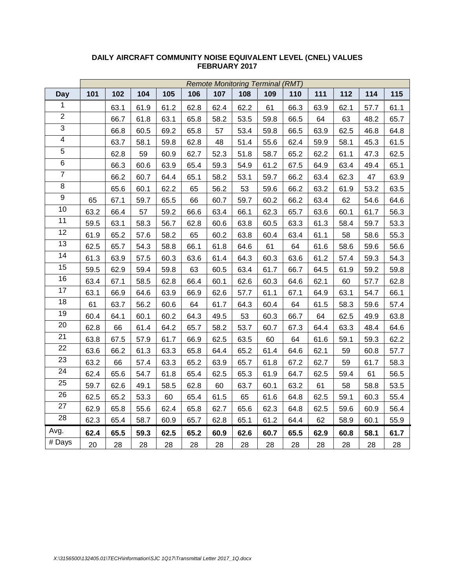|                         | <b>Remote Monitoring Terminal (RMT)</b> |      |      |      |      |      |      |      |      |      |      |      |      |
|-------------------------|-----------------------------------------|------|------|------|------|------|------|------|------|------|------|------|------|
| <b>Day</b>              | 101                                     | 102  | 104  | 105  | 106  | 107  | 108  | 109  | 110  | 111  | 112  | 114  | 115  |
| 1                       |                                         | 63.1 | 61.9 | 61.2 | 62.8 | 62.4 | 62.2 | 61   | 66.3 | 63.9 | 62.1 | 57.7 | 61.1 |
| $\overline{2}$          |                                         | 66.7 | 61.8 | 63.1 | 65.8 | 58.2 | 53.5 | 59.8 | 66.5 | 64   | 63   | 48.2 | 65.7 |
| $\overline{3}$          |                                         | 66.8 | 60.5 | 69.2 | 65.8 | 57   | 53.4 | 59.8 | 66.5 | 63.9 | 62.5 | 46.8 | 64.8 |
| $\overline{\mathbf{4}}$ |                                         | 63.7 | 58.1 | 59.8 | 62.8 | 48   | 51.4 | 55.6 | 62.4 | 59.9 | 58.1 | 45.3 | 61.5 |
| $\overline{5}$          |                                         | 62.8 | 59   | 60.9 | 62.7 | 52.3 | 51.8 | 58.7 | 65.2 | 62.2 | 61.1 | 47.3 | 62.5 |
| $\overline{6}$          |                                         | 66.3 | 60.6 | 63.9 | 65.4 | 59.3 | 54.9 | 61.2 | 67.5 | 64.9 | 63.4 | 49.4 | 65.1 |
| $\overline{7}$          |                                         | 66.2 | 60.7 | 64.4 | 65.1 | 58.2 | 53.1 | 59.7 | 66.2 | 63.4 | 62.3 | 47   | 63.9 |
| 8                       |                                         | 65.6 | 60.1 | 62.2 | 65   | 56.2 | 53   | 59.6 | 66.2 | 63.2 | 61.9 | 53.2 | 63.5 |
| $\overline{9}$          | 65                                      | 67.1 | 59.7 | 65.5 | 66   | 60.7 | 59.7 | 60.2 | 66.2 | 63.4 | 62   | 54.6 | 64.6 |
| 10                      | 63.2                                    | 66.4 | 57   | 59.2 | 66.6 | 63.4 | 66.1 | 62.3 | 65.7 | 63.6 | 60.1 | 61.7 | 56.3 |
| 11                      | 59.5                                    | 63.1 | 58.3 | 56.7 | 62.8 | 60.6 | 63.8 | 60.5 | 63.3 | 61.3 | 58.4 | 59.7 | 53.3 |
| 12                      | 61.9                                    | 65.2 | 57.6 | 58.2 | 65   | 60.2 | 63.8 | 60.4 | 63.4 | 61.1 | 58   | 58.6 | 55.3 |
| 13                      | 62.5                                    | 65.7 | 54.3 | 58.8 | 66.1 | 61.8 | 64.6 | 61   | 64   | 61.6 | 58.6 | 59.6 | 56.6 |
| 14                      | 61.3                                    | 63.9 | 57.5 | 60.3 | 63.6 | 61.4 | 64.3 | 60.3 | 63.6 | 61.2 | 57.4 | 59.3 | 54.3 |
| 15                      | 59.5                                    | 62.9 | 59.4 | 59.8 | 63   | 60.5 | 63.4 | 61.7 | 66.7 | 64.5 | 61.9 | 59.2 | 59.8 |
| 16                      | 63.4                                    | 67.1 | 58.5 | 62.8 | 66.4 | 60.1 | 62.6 | 60.3 | 64.6 | 62.1 | 60   | 57.7 | 62.8 |
| $\overline{17}$         | 63.1                                    | 66.9 | 64.6 | 63.9 | 66.9 | 62.6 | 57.7 | 61.1 | 67.1 | 64.9 | 63.1 | 54.7 | 66.1 |
| 18                      | 61                                      | 63.7 | 56.2 | 60.6 | 64   | 61.7 | 64.3 | 60.4 | 64   | 61.5 | 58.3 | 59.6 | 57.4 |
| 19                      | 60.4                                    | 64.1 | 60.1 | 60.2 | 64.3 | 49.5 | 53   | 60.3 | 66.7 | 64   | 62.5 | 49.9 | 63.8 |
| $\overline{20}$         | 62.8                                    | 66   | 61.4 | 64.2 | 65.7 | 58.2 | 53.7 | 60.7 | 67.3 | 64.4 | 63.3 | 48.4 | 64.6 |
| $\overline{21}$         | 63.8                                    | 67.5 | 57.9 | 61.7 | 66.9 | 62.5 | 63.5 | 60   | 64   | 61.6 | 59.1 | 59.3 | 62.2 |
| 22                      | 63.6                                    | 66.2 | 61.3 | 63.3 | 65.8 | 64.4 | 65.2 | 61.4 | 64.6 | 62.1 | 59   | 60.8 | 57.7 |
| 23                      | 63.2                                    | 66   | 57.4 | 63.3 | 65.2 | 63.9 | 65.7 | 61.8 | 67.2 | 62.7 | 59   | 61.7 | 58.3 |
| 24                      | 62.4                                    | 65.6 | 54.7 | 61.8 | 65.4 | 62.5 | 65.3 | 61.9 | 64.7 | 62.5 | 59.4 | 61   | 56.5 |
| $\overline{25}$         | 59.7                                    | 62.6 | 49.1 | 58.5 | 62.8 | 60   | 63.7 | 60.1 | 63.2 | 61   | 58   | 58.8 | 53.5 |
| 26                      | 62.5                                    | 65.2 | 53.3 | 60   | 65.4 | 61.5 | 65   | 61.6 | 64.8 | 62.5 | 59.1 | 60.3 | 55.4 |
| 27                      | 62.9                                    | 65.8 | 55.6 | 62.4 | 65.8 | 62.7 | 65.6 | 62.3 | 64.8 | 62.5 | 59.6 | 60.9 | 56.4 |
| 28                      | 62.3                                    | 65.4 | 58.7 | 60.9 | 65.7 | 62.8 | 65.1 | 61.2 | 64.4 | 62   | 58.9 | 60.1 | 55.9 |
| Avg.                    | 62.4                                    | 65.5 | 59.3 | 62.5 | 65.2 | 60.9 | 62.6 | 60.7 | 65.5 | 62.9 | 60.8 | 58.1 | 61.7 |
| # Days                  | 20                                      | 28   | 28   | 28   | 28   | 28   | 28   | 28   | 28   | 28   | 28   | 28   | 28   |

#### **DAILY AIRCRAFT COMMUNITY NOISE EQUIVALENT LEVEL (CNEL) VALUES FEBRUARY 2017**